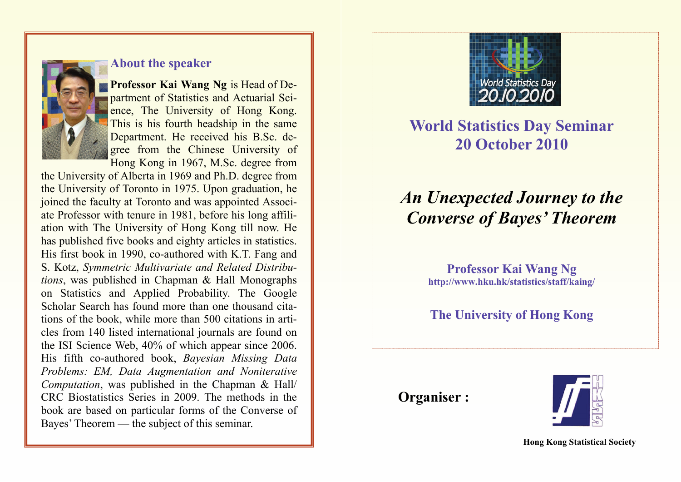

#### **About the speaker**

**Professor Kai Wang Ng** is Head of Department of Statistics and Actuarial Science, The University of Hong Kong. This is his fourth headship in the same Department. He received his B.Sc. degree from the Chinese University of Hong Kong in 1967, M.Sc. degree from

the University of Alberta in 1969 and Ph.D. degree from the University of Toronto in 1975. Upon graduation, he joined the faculty at Toronto and was appointed Associate Professor with tenure in 1981, before his long affiliation with The University of Hong Kong till now. He has published five books and eighty articles in statistics. His first book in 1990, co-authored with K.T. Fang and S. Kotz, *Symmetric Multivariate and Related Distributions*, was published in Chapman & Hall Monographs on Statistics and Applied Probability. The Google Scholar Search has found more than one thousand citations of the book, while more than 500 citations in articles from 140 listed international journals are found on the ISI Science Web, 40% of which appear since 2006. His fifth co-authored book, *Bayesian Missing Data Problems: EM, Data Augmentation and Noniterative Computation*, was published in the Chapman & Hall/ CRC Biostatistics Series in 2009. The methods in the book are based on particular forms of the Converse of Bayes' Theorem — the subject of this seminar.



## **World Statistics Day Seminar 20 October 2010**

# *An Unexpected Journey to the Converse of Bayes' Theorem*

**Professor Kai Wang Ng http://www.hku.hk/statistics/staff/kaing/** 

### **The University of Hong Kong**

 **Organiser :**



**Hong Kong Statistical Society**